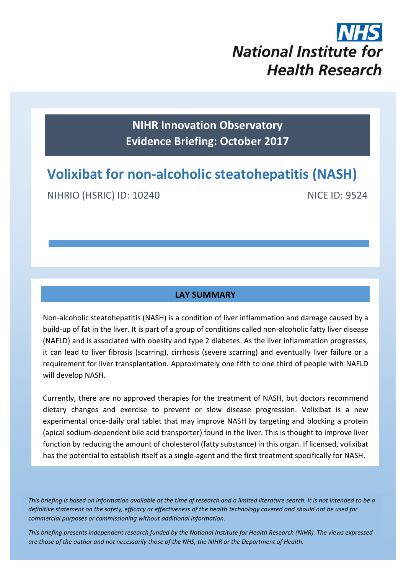# **National Institute for Health Research**

**NIHR Innovation Observatory Evidence Briefing: October 2017**

# **Volixibat for non-alcoholic steatohepatitis (NASH)**

NIHRIO (HSRIC) ID: 10240 NICE ID: 9524

#### **LAY SUMMARY**

Non-alcoholic steatohepatitis (NASH) is a condition of liver inflammation and damage caused by a build-up of fat in the liver. It is part of a group of conditions called non-alcoholic fatty liver disease (NAFLD) and is associated with obesity and type 2 diabetes. As the liver inflammation progresses, it can lead to liver fibrosis (scarring), cirrhosis (severe scarring) and eventually liver failure or a requirement for liver transplantation. Approximately one fifth to one third of people with NAFLD will develop NASH.

Currently, there are no approved therapies for the treatment of NASH, but doctors recommend dietary changes and exercise to prevent or slow disease progression. Volixibat is a new experimental once-daily oral tablet that may improve NASH by targeting and blocking a protein (apical sodium-dependent bile acid transporter) found in the liver. This is thought to improve liver function by reducing the amount of cholesterol (fatty substance) in this organ. If licensed, volixibat has the potential to establish itself as a single-agent and the first treatment specifically for NASH.

*This briefing is based on information available at the time of research and a limited literature search. It is not intended to be a definitive statement on the safety, efficacy or effectiveness of the health technology covered and should not be used for commercial purposes or commissioning without additional information.*

1 *This briefing presents independent research funded by the National Institute for Health Research (NIHR). The views expressed are those of the author and not necessarily those of the NHS, the NIHR or the Department of Health.*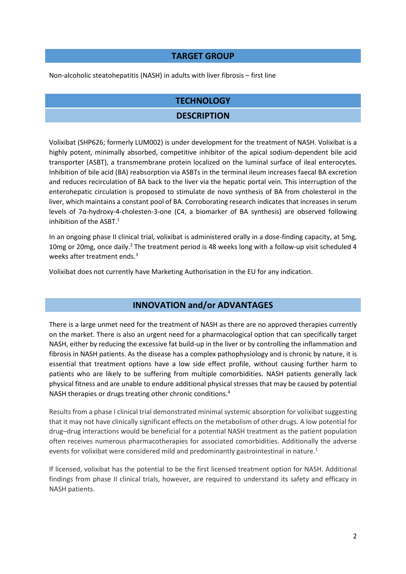#### **TARGET GROUP**

Non-alcoholic steatohepatitis (NASH) in adults with liver fibrosis – first line

### **TECHNOLOGY**

#### **DESCRIPTION**

Volixibat (SHP626; formerly LUM002) is under development for the treatment of NASH. Volixibat is a highly potent, minimally absorbed, competitive inhibitor of the apical sodium-dependent bile acid transporter (ASBT), a transmembrane protein localized on the luminal surface of ileal enterocytes. Inhibition of bile acid (BA) reabsorption via ASBTs in the terminal ileum increases faecal BA excretion and reduces recirculation of BA back to the liver via the hepatic portal vein. This interruption of the enterohepatic circulation is proposed to stimulate de novo synthesis of BA from cholesterol in the liver, which maintains a constant pool of BA. Corroborating research indicates that increases in serum levels of 7α-hydroxy-4-cholesten-3-one (C4, a biomarker of BA synthesis) are observed following inhibition of the ASBT.<sup>1</sup>

In an ongoing phase II clinical trial, volixibat is administered orally in a dose-finding capacity, at 5mg, 10mg or 20mg, once daily.<sup>2</sup> The treatment period is 48 weeks long with a follow-up visit scheduled 4 weeks after treatment ends.<sup>3</sup>

Volixibat does not currently have Marketing Authorisation in the EU for any indication.

#### **INNOVATION and/or ADVANTAGES**

There is a large unmet need for the treatment of NASH as there are no approved therapies currently on the market. There is also an urgent need for a pharmacological option that can specifically target NASH, either by reducing the excessive fat build-up in the liver or by controlling the inflammation and fibrosis in NASH patients. As the disease has a complex pathophysiology and is chronic by nature, it is essential that treatment options have a low side effect profile, without causing further harm to patients who are likely to be suffering from multiple comorbidities. NASH patients generally lack physical fitness and are unable to endure additional physical stresses that may be caused by potential NASH therapies or drugs treating other chronic conditions.<sup>4</sup>

Results from a phase I clinical trial demonstrated minimal systemic absorption for volixibat suggesting that it may not have clinically significant effects on the metabolism of other drugs. A low potential for drug–drug interactions would be beneficial for a potential NASH treatment as the patient population often receives numerous pharmacotherapies for associated comorbidities. Additionally the adverse events for volixibat were considered mild and predominantly gastrointestinal in nature.<sup>1</sup>

If licensed, volixibat has the potential to be the first licensed treatment option for NASH. Additional findings from phase II clinical trials, however, are required to understand its safety and efficacy in NASH patients.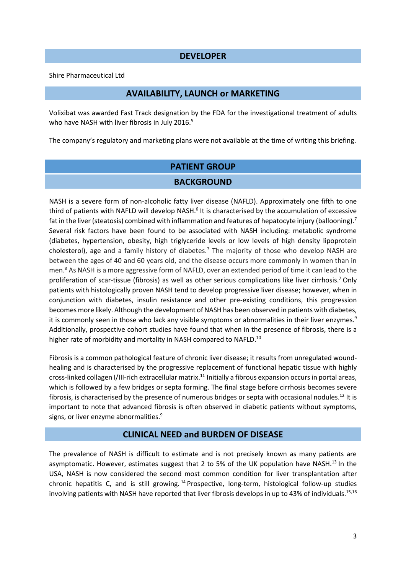#### **DEVELOPER**

Shire Pharmaceutical Ltd

#### **AVAILABILITY, LAUNCH or MARKETING**

Volixibat was awarded Fast Track designation by the FDA for the investigational treatment of adults who have NASH with liver fibrosis in July 2016.<sup>5</sup>

The company's regulatory and marketing plans were not available at the time of writing this briefing.

# **PATIENT GROUP BACKGROUND**

NASH is a severe form of non-alcoholic fatty liver disease (NAFLD). Approximately one fifth to one third of patients with NAFLD will develop NASH.<sup>6</sup> It is characterised by the accumulation of excessive fat in the liver (steatosis) combined with inflammation and features of hepatocyte injury (ballooning).<sup>7</sup> Several risk factors have been found to be associated with NASH including: metabolic syndrome (diabetes, hypertension, obesity, high triglyceride levels or low levels of high density lipoprotein cholesterol), age and a family history of diabetes.<sup>7</sup> The majority of those who develop NASH are between the ages of 40 and 60 years old, and the disease occurs more commonly in women than in men.<sup>8</sup> As NASH is a more aggressive form of NAFLD, over an extended period of time it can lead to the proliferation of scar-tissue (fibrosis) as well as other serious complications like liver cirrhosis.<sup>7</sup>Only patients with histologically proven NASH tend to develop progressive liver disease; however, when in conjunction with diabetes, insulin resistance and other pre-existing conditions, this progression becomes more likely. Although the development of NASH has been observed in patients with diabetes, it is commonly seen in those who lack any visible symptoms or abnormalities in their liver enzymes.<sup>9</sup> Additionally, prospective cohort studies have found that when in the presence of fibrosis, there is a higher rate of morbidity and mortality in NASH compared to NAFLD.<sup>10</sup>

Fibrosis is a common pathological feature of chronic liver disease; it results from unregulated woundhealing and is characterised by the progressive replacement of functional hepatic tissue with highly cross-linked collagen I/III-rich extracellular matrix.<sup>11</sup> Initially a fibrous expansion occurs in portal areas, which is followed by a few bridges or septa forming. The final stage before cirrhosis becomes severe fibrosis, is characterised by the presence of numerous bridges or septa with occasional nodules.<sup>12</sup> It is important to note that advanced fibrosis is often observed in diabetic patients without symptoms, signs, or liver enzyme abnormalities.<sup>9</sup>

#### **CLINICAL NEED and BURDEN OF DISEASE**

The prevalence of NASH is difficult to estimate and is not precisely known as many patients are asymptomatic. However, estimates suggest that 2 to 5% of the UK population have NASH.<sup>13</sup> In the USA, NASH is now considered the second most common condition for liver transplantation after chronic hepatitis C, and is still growing. <sup>14</sup> Prospective, long-term, histological follow-up studies involving patients with NASH have reported that liver fibrosis develops in up to 43% of individuals.<sup>15,16</sup>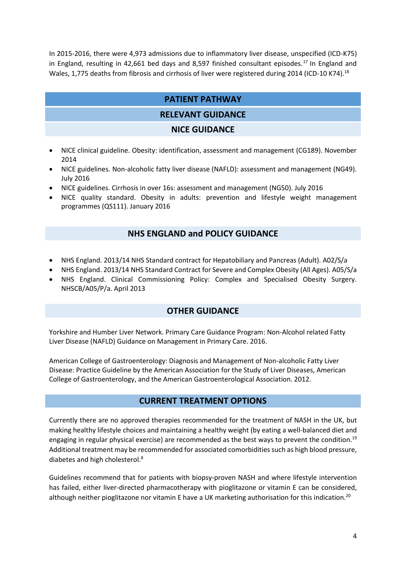In 2015-2016, there were 4,973 admissions due to inflammatory liver disease, unspecified (ICD-K75) in England, resulting in 42,661 bed days and 8,597 finished consultant episodes.<sup>17</sup> In England and Wales, 1,775 deaths from fibrosis and cirrhosis of liver were registered during 2014 (ICD-10 K74).<sup>18</sup>

# **PATIENT PATHWAY**

# **RELEVANT GUIDANCE**

#### **NICE GUIDANCE**

- NICE clinical guideline. Obesity: identification, assessment and management (CG189). November 2014
- NICE guidelines. Non-alcoholic fatty liver disease (NAFLD): assessment and management (NG49). July 2016
- NICE guidelines. Cirrhosis in over 16s: assessment and management (NG50). July 2016
- NICE quality standard. Obesity in adults: prevention and lifestyle weight management programmes (QS111). January 2016

# **NHS ENGLAND and POLICY GUIDANCE**

- NHS England. 2013/14 NHS Standard contract for Hepatobiliary and Pancreas (Adult). A02/S/a
- NHS England. 2013/14 NHS Standard Contract for Severe and Complex Obesity (All Ages). A05/S/a
- NHS England. Clinical Commissioning Policy: Complex and Specialised Obesity Surgery. NHSCB/A05/P/a. April 2013

# **OTHER GUIDANCE**

Yorkshire and Humber Liver Network. Primary Care Guidance Program: Non-Alcohol related Fatty Liver Disease (NAFLD) Guidance on Management in Primary Care. 2016.

American College of Gastroenterology: Diagnosis and Management of Non-alcoholic Fatty Liver Disease: Practice Guideline by the American Association for the Study of Liver Diseases, American College of Gastroenterology, and the American Gastroenterological Association. 2012.

# **CURRENT TREATMENT OPTIONS**

Currently there are no approved therapies recommended for the treatment of NASH in the UK, but making healthy lifestyle choices and maintaining a healthy weight (by eating a well-balanced diet and engaging in regular physical exercise) are recommended as the best ways to prevent the condition.<sup>19</sup> Additional treatment may be recommended for associated comorbidities such as high blood pressure, diabetes and high cholesterol.<sup>8</sup>

Guidelines recommend that for patients with biopsy-proven NASH and where lifestyle intervention has failed, either liver-directed pharmacotherapy with pioglitazone or vitamin E can be considered, although neither pioglitazone nor vitamin E have a UK marketing authorisation for this indication.<sup>20</sup>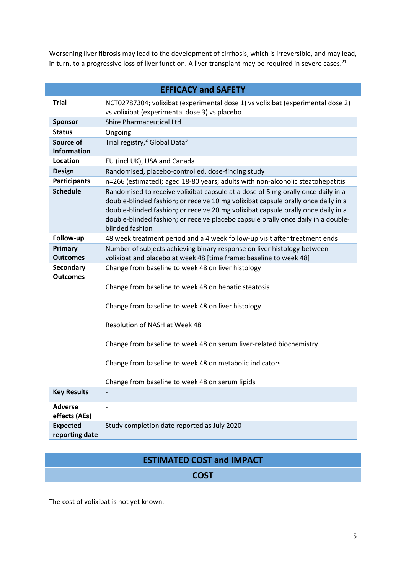Worsening liver fibrosis may lead to the development of cirrhosis, which is irreversible, and may lead, in turn, to a progressive loss of liver function. A liver transplant may be required in severe cases.<sup>21</sup>

| <b>EFFICACY and SAFETY</b>        |                                                                                                                                                                                                                                                                                                                                                                                        |  |
|-----------------------------------|----------------------------------------------------------------------------------------------------------------------------------------------------------------------------------------------------------------------------------------------------------------------------------------------------------------------------------------------------------------------------------------|--|
| <b>Trial</b>                      | NCT02787304; volixibat (experimental dose 1) vs volixibat (experimental dose 2)<br>vs volixibat (experimental dose 3) vs placebo                                                                                                                                                                                                                                                       |  |
| <b>Sponsor</b>                    | <b>Shire Pharmaceutical Ltd</b>                                                                                                                                                                                                                                                                                                                                                        |  |
| <b>Status</b>                     | Ongoing                                                                                                                                                                                                                                                                                                                                                                                |  |
| Source of<br><b>Information</b>   | Trial registry, <sup>2</sup> Global Data <sup>3</sup>                                                                                                                                                                                                                                                                                                                                  |  |
| Location                          | EU (incl UK), USA and Canada.                                                                                                                                                                                                                                                                                                                                                          |  |
| <b>Design</b>                     | Randomised, placebo-controlled, dose-finding study                                                                                                                                                                                                                                                                                                                                     |  |
| <b>Participants</b>               | n=266 (estimated); aged 18-80 years; adults with non-alcoholic steatohepatitis                                                                                                                                                                                                                                                                                                         |  |
| <b>Schedule</b>                   | Randomised to receive volixibat capsule at a dose of 5 mg orally once daily in a<br>double-blinded fashion; or receive 10 mg volixibat capsule orally once daily in a<br>double-blinded fashion; or receive 20 mg volixibat capsule orally once daily in a<br>double-blinded fashion; or receive placebo capsule orally once daily in a double-<br>blinded fashion                     |  |
| Follow-up                         | 48 week treatment period and a 4 week follow-up visit after treatment ends                                                                                                                                                                                                                                                                                                             |  |
| <b>Primary</b><br><b>Outcomes</b> | Number of subjects achieving binary response on liver histology between<br>volixibat and placebo at week 48 [time frame: baseline to week 48]                                                                                                                                                                                                                                          |  |
| Secondary<br><b>Outcomes</b>      | Change from baseline to week 48 on liver histology<br>Change from baseline to week 48 on hepatic steatosis<br>Change from baseline to week 48 on liver histology<br>Resolution of NASH at Week 48<br>Change from baseline to week 48 on serum liver-related biochemistry<br>Change from baseline to week 48 on metabolic indicators<br>Change from baseline to week 48 on serum lipids |  |
| <b>Key Results</b>                | ÷                                                                                                                                                                                                                                                                                                                                                                                      |  |
| <b>Adverse</b><br>effects (AEs)   | $\overline{a}$                                                                                                                                                                                                                                                                                                                                                                         |  |
| <b>Expected</b><br>reporting date | Study completion date reported as July 2020                                                                                                                                                                                                                                                                                                                                            |  |

# **ESTIMATED COST and IMPACT**

# **COST**

The cost of volixibat is not yet known.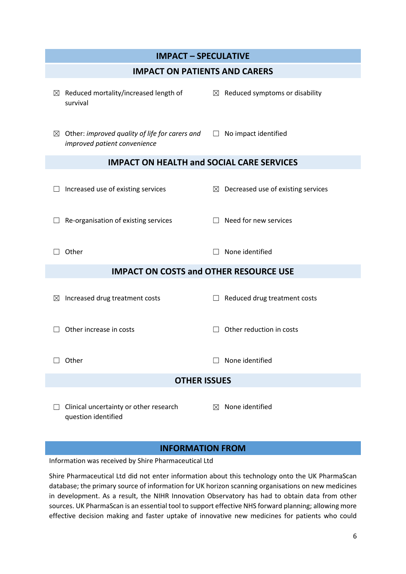| <b>IMPACT - SPECULATIVE</b>                                                         |                                                |  |  |
|-------------------------------------------------------------------------------------|------------------------------------------------|--|--|
| <b>IMPACT ON PATIENTS AND CARERS</b>                                                |                                                |  |  |
| Reduced mortality/increased length of<br>⊠<br>survival                              | $\boxtimes$ Reduced symptoms or disability     |  |  |
| Other: improved quality of life for carers and<br>⊠<br>improved patient convenience | No impact identified<br>$\perp$                |  |  |
| <b>IMPACT ON HEALTH and SOCIAL CARE SERVICES</b>                                    |                                                |  |  |
| Increased use of existing services                                                  | $\boxtimes$ Decreased use of existing services |  |  |
| Re-organisation of existing services                                                | Need for new services                          |  |  |
| Other                                                                               | None identified                                |  |  |
| <b>IMPACT ON COSTS and OTHER RESOURCE USE</b>                                       |                                                |  |  |
| Increased drug treatment costs<br>$\boxtimes$                                       | Reduced drug treatment costs                   |  |  |
| Other increase in costs                                                             | Other reduction in costs                       |  |  |
| Other                                                                               | None identified                                |  |  |
| <b>OTHER ISSUES</b>                                                                 |                                                |  |  |
| Clinical uncertainty or other research<br>question identified                       | None identified<br>$\boxtimes$                 |  |  |

# **INFORMATION FROM**

Information was received by Shire Pharmaceutical Ltd

Shire Pharmaceutical Ltd did not enter information about this technology onto the UK PharmaScan database; the primary source of information for UK horizon scanning organisations on new medicines in development. As a result, the NIHR Innovation Observatory has had to obtain data from other sources. UK PharmaScan is an essential tool to support effective NHS forward planning; allowing more effective decision making and faster uptake of innovative new medicines for patients who could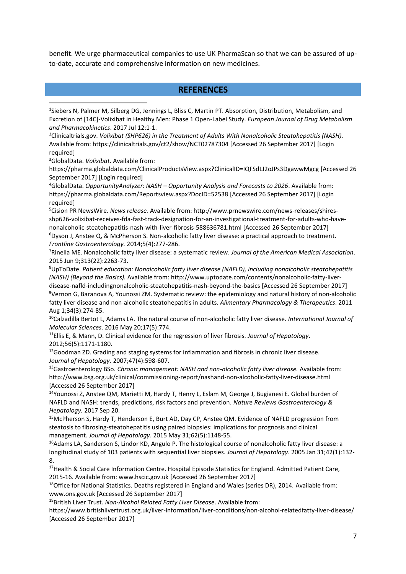benefit. We urge pharmaceutical companies to use UK PharmaScan so that we can be assured of upto-date, accurate and comprehensive information on new medicines.

#### **REFERENCES**

<sup>1</sup>Siebers N, Palmer M, Silberg DG, Jennings L, Bliss C, Martin PT. Absorption, Distribution, Metabolism, and Excretion of [14C]-Volixibat in Healthy Men: Phase 1 Open-Label Study. *European Journal of Drug Metabolism and Pharmacokinetics*. 2017 Jul 12:1-1.

<sup>2</sup>Clinicaltrials.gov. *Volixibat (SHP626) in the Treatment of Adults With Nonalcoholic Steatohepatitis (NASH)*. Available from: https://clinicaltrials.gov/ct2/show/NCT02787304 [Accessed 26 September 2017] [Login required]

<sup>3</sup>GlobalData. *Volixibat*. Available from:

**.** 

https://pharma.globaldata.com/ClinicalProductsView.aspx?ClinicalID=IQFSdLJ2oJPs3DgawwMgcg [Accessed 26 September 2017] [Login required]

<sup>4</sup>GlobalData. *OpportunityAnalyzer: NASH – Opportunity Analysis and Forecasts to 2026*. Available from: https://pharma.globaldata.com/Reportsview.aspx?DocID=52538 [Accessed 26 September 2017] [Login required]

<sup>5</sup>Cision PR NewsWire. *News release.* Available from: http://www.prnewswire.com/news-releases/shiresshp626-volixibat-receives-fda-fast-track-designation-for-an-investigational-treatment-for-adults-who-havenonalcoholic-steatohepatitis-nash-with-liver-fibrosis-588636781.html [Accessed 26 September 2017] <sup>6</sup>Dyson J, Anstee Q, & McPherson S. Non-alcoholic fatty liver disease: a practical approach to treatment.

*Frontline Gastroenterology.* 2014;5(4):277-286.

<sup>7</sup>Rinella ME. Nonalcoholic fatty liver disease: a systematic review. *Journal of the American Medical Association*. 2015 Jun 9;313(22):2263-73.

<sup>8</sup>UpToDate. *Patient education: Nonalcoholic fatty liver disease (NAFLD), including nonalcoholic steatohepatitis (NASH) (Beyond the Basics).* Available from: http://www.uptodate.com/contents/nonalcoholic-fatty-liverdisease-nafld-includingnonalcoholic-steatohepatitis-nash-beyond-the-basics [Accessed 26 September 2017]

<sup>9</sup>Vernon G, Baranova A, Younossi ZM. Systematic review: the epidemiology and natural history of non‐alcoholic fatty liver disease and non‐alcoholic steatohepatitis in adults. *Alimentary Pharmacology & Therapeutics*. 2011 Aug 1;34(3):274-85.

<sup>10</sup>Calzadilla Bertot L, Adams LA. The natural course of non-alcoholic fatty liver disease. *International Journal of Molecular Sciences*. 2016 May 20;17(5):774.

<sup>11</sup>Ellis E, & Mann, D. Clinical evidence for the regression of liver fibrosis*. Journal of Hepatology*. 2012;56(5):1171-1180.

<sup>12</sup>Goodman ZD. Grading and staging systems for inflammation and fibrosis in chronic liver disease. *Journal of Hepatology.* 2007;47(4):598-607.

<sup>13</sup>Gastroenterology BSo. *Chronic management: NASH and non-alcoholic fatty liver disease.* Available from: http://www.bsg.org.uk/clinical/commissioning-report/nashand-non-alcoholic-fatty-liver-disease.html [Accessed 26 September 2017]

<sup>14</sup>Younossi Z, Anstee QM, Marietti M, Hardy T, Henry L, Eslam M, George J, Bugianesi E. Global burden of NAFLD and NASH: trends, predictions, risk factors and prevention. *Nature Reviews Gastroenterology & Hepatology.* 2017 Sep 20.

<sup>15</sup>McPherson S, Hardy T, Henderson E, Burt AD, Day CP, Anstee QM. Evidence of NAFLD progression from steatosis to fibrosing-steatohepatitis using paired biopsies: implications for prognosis and clinical management. *Journal of Hepatology*. 2015 May 31;62(5):1148-55.

<sup>16</sup>Adams LA, Sanderson S, Lindor KD, Angulo P. The histological course of nonalcoholic fatty liver disease: a longitudinal study of 103 patients with sequential liver biopsies. *Journal of Hepatology*. 2005 Jan 31;42(1):132- 8.

<sup>17</sup>Health & Social Care Information Centre. Hospital Episode Statistics for England. Admitted Patient Care, 2015-16. Available from: www.hscic.gov.uk [Accessed 26 September 2017]

<sup>18</sup>Office for National Statistics. Deaths registered in England and Wales (series DR), 2014. Available from: www.ons.gov.uk [Accessed 26 September 2017]

<sup>19</sup>British Liver Trust. *Non-Alcohol Related Fatty Liver Disease*. Available from:

https://www.britishlivertrust.org.uk/liver-information/liver-conditions/non-alcohol-relatedfatty-liver-disease/ [Accessed 26 September 2017]